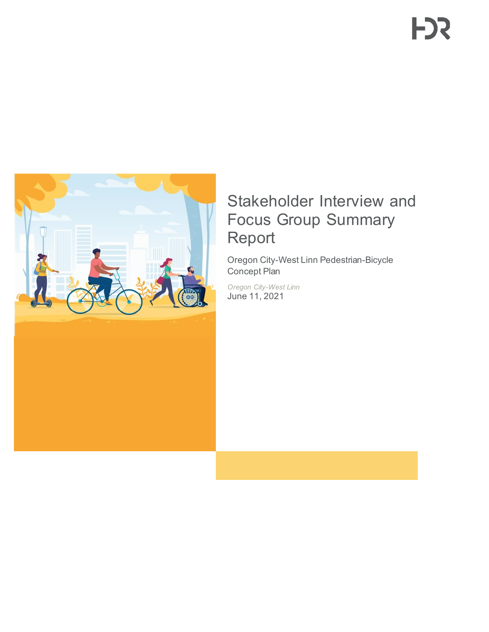

# Stakeholder Interview and Focus Group Summary Report

Oregon City-West Linn Pedestrian-Bicycle Concept Plan

*Oregon City-West Linn* June 11, 2021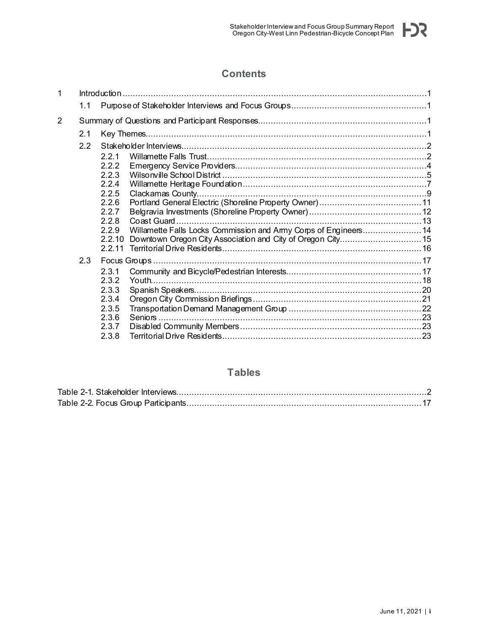

# **Contents**

| 1 |     |                |                                                                 |  |  |
|---|-----|----------------|-----------------------------------------------------------------|--|--|
|   | 1.1 |                |                                                                 |  |  |
| 2 |     |                |                                                                 |  |  |
|   | 2.1 |                |                                                                 |  |  |
|   | 2.2 |                |                                                                 |  |  |
|   |     | 2.2.1          |                                                                 |  |  |
|   |     | 2.2.2          |                                                                 |  |  |
|   |     | 2.2.3          |                                                                 |  |  |
|   |     | 2.2.4          |                                                                 |  |  |
|   |     | 2.2.5          |                                                                 |  |  |
|   |     | 2.2.6<br>2.2.7 |                                                                 |  |  |
|   |     | 2.2.8          |                                                                 |  |  |
|   |     | 2.2.9          | Willamette Falls Locks Commission and Amy Corps of Engineers 14 |  |  |
|   |     | 2.2.10         |                                                                 |  |  |
|   |     | 2.2.11         |                                                                 |  |  |
|   | 2.3 |                |                                                                 |  |  |
|   |     | 2.3.1          |                                                                 |  |  |
|   |     | 2.3.2          |                                                                 |  |  |
|   |     | 2.3.3          |                                                                 |  |  |
|   |     | 2.3.4          |                                                                 |  |  |
|   |     | 2.3.5          |                                                                 |  |  |
|   |     | 2.3.6<br>2.3.7 |                                                                 |  |  |
|   |     | 2.3.8          |                                                                 |  |  |
|   |     |                |                                                                 |  |  |

# **Tables**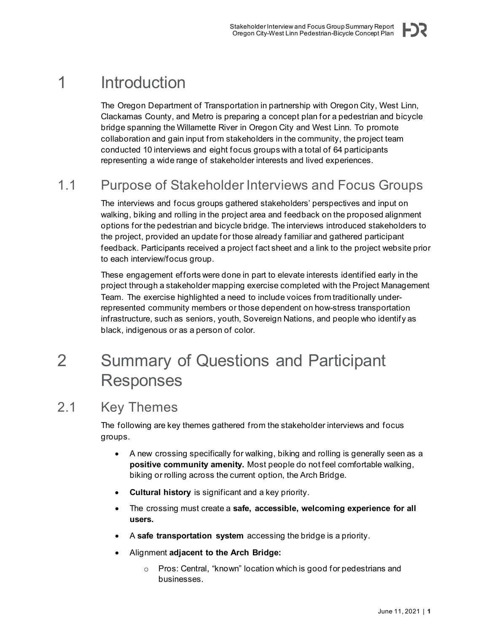<span id="page-4-0"></span>The Oregon Department of Transportation in partnership with Oregon City, West Linn, Clackamas County, and Metro is preparing a concept plan for a pedestrian and bicycle bridge spanning the Willamette River in Oregon City and West Linn. To promote collaboration and gain input from stakeholders in the community, the project team conducted 10 interviews and eight focus groups with a total of 64 participants representing a wide range of stakeholder interests and lived experiences.

# <span id="page-4-1"></span>1.1 Purpose of Stakeholder Interviews and Focus Groups

The interviews and focus groups gathered stakeholders' perspectives and input on walking, biking and rolling in the project area and feedback on the proposed alignment options for the pedestrian and bicycle bridge. The interviews introduced stakeholders to the project, provided an update for those already familiar and gathered participant feedback. Participants received a project fact sheet and a link to the project website prior to each interview/focus group.

These engagement efforts were done in part to elevate interests identified early in the project through a stakeholder mapping exercise completed with the Project Management Team. The exercise highlighted a need to include voices from traditionally underrepresented community members or those dependent on how-stress transportation infrastructure, such as seniors, youth, Sovereign Nations, and people who identify as black, indigenous or as a person of color.

# <span id="page-4-2"></span>2 Summary of Questions and Participant Responses

# <span id="page-4-3"></span>2.1 Key Themes

The following are key themes gathered from the stakeholder interviews and focus groups.

- A new crossing specifically for walking, biking and rolling is generally seen as a **positive community amenity.** Most people do not feel comfortable walking, biking or rolling across the current option, the Arch Bridge.
- **Cultural history** is significant and a key priority.
- The crossing must create a **safe, accessible, welcoming experience for all users.**
- A **safe transportation system** accessing the bridge is a priority.
- Alignment **adjacent to the Arch Bridge:**
	- o Pros: Central, "known" location which is good for pedestrians and businesses.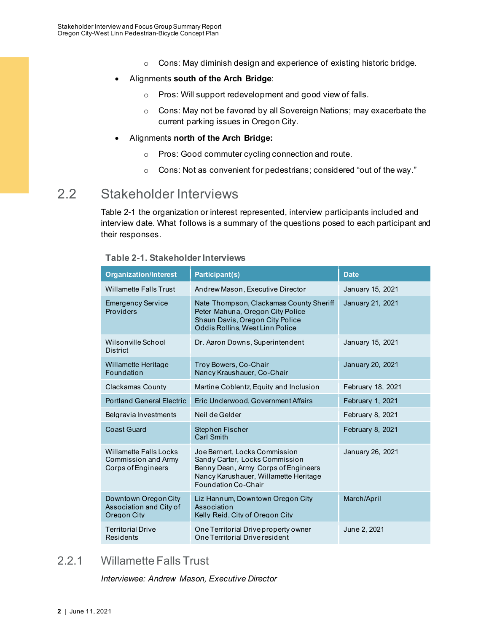- o Cons: May diminish design and experience of existing historic bridge.
- Alignments **south of the Arch Bridge**:
	- o Pros: Will support redevelopment and good view of falls.
	- o Cons: May not be favored by all Sovereign Nations; may exacerbate the current parking issues in Oregon City.
- Alignments **north of the Arch Bridge:**
	- o Pros: Good commuter cycling connection and route.
	- o Cons: Not as convenient for pedestrians; considered "out of the way."

# <span id="page-5-0"></span>2.2 Stakeholder Interviews

Table 2-1 the organization or interest represented, interview participants included and interview date. What follows is a summary of the questions posed to each participant and their responses.

| <b>Organization/Interest</b>                                        | Participant(s)                                                                                                                                                         | <b>Date</b>       |
|---------------------------------------------------------------------|------------------------------------------------------------------------------------------------------------------------------------------------------------------------|-------------------|
| <b>Willamette Falls Trust</b>                                       | Andrew Mason, Executive Director                                                                                                                                       | January 15, 2021  |
| <b>Emergency Service</b><br>Providers                               | Nate Thompson, Clackamas County Sheriff<br>Peter Mahuna, Oregon City Police<br>Shaun Davis, Oregon City Police<br>Oddis Rollins, West Linn Police                      | January 21, 2021  |
| Wilsonville School<br><b>District</b>                               | Dr. Aaron Downs, Superintendent                                                                                                                                        | January 15, 2021  |
| Willamette Heritage<br>Foundation                                   | Troy Bowers, Co-Chair<br>Nancy Kraushauer, Co-Chair                                                                                                                    | January 20, 2021  |
| Clackamas County                                                    | Martine Coblentz, Equity and Inclusion                                                                                                                                 | February 18, 2021 |
| <b>Portland General Electric</b>                                    | Eric Underwood, Government Affairs                                                                                                                                     | February 1, 2021  |
| Belgravia Investments                                               | Neil de Gelder                                                                                                                                                         | February 8, 2021  |
| <b>Coast Guard</b>                                                  | Stephen Fischer<br><b>Carl Smith</b>                                                                                                                                   | February 8, 2021  |
| Willamette Falls Locks<br>Commission and Army<br>Corps of Engineers | Joe Bernert, Locks Commission<br>Sandy Carter, Locks Commission<br>Benny Dean, Army Corps of Engineers<br>Nancy Karushauer, Willamette Heritage<br>Foundation Co-Chair | January 26, 2021  |
| Downtown Oregon City<br>Association and City of<br>Oregon City      | Liz Hannum, Downtown Oregon City<br>Association<br>Kelly Reid, City of Oregon City                                                                                     | March/April       |
| <b>Territorial Drive</b><br>Residents                               | One Territorial Drive property owner<br>One Territorial Drive resident                                                                                                 | June 2, 2021      |

#### <span id="page-5-2"></span>**Table 2-1. Stakeholder Interviews**

# <span id="page-5-1"></span>2.2.1 Willamette Falls Trust

*Interviewee: Andrew Mason, Executive Director*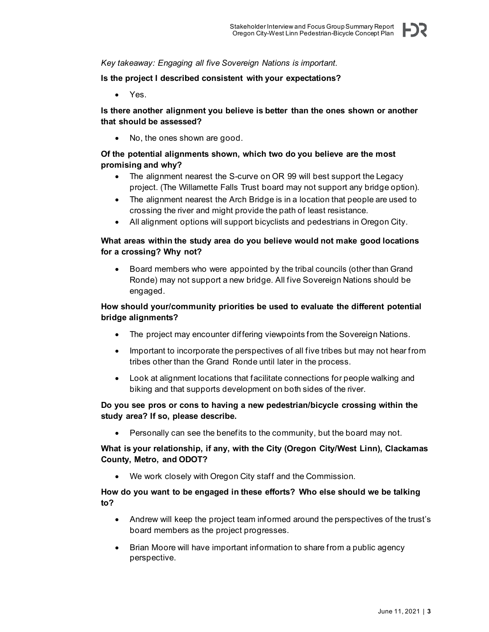*Key takeaway: Engaging all five Sovereign Nations is important.*

#### **Is the project I described consistent with your expectations?**

• Yes.

#### **Is there another alignment you believe is better than the ones shown or another that should be assessed?**

• No, the ones shown are good.

## **Of the potential alignments shown, which two do you believe are the most promising and why?**

- The alignment nearest the S-curve on OR 99 will best support the Legacy project. (The Willamette Falls Trust board may not support any bridge option).
- The alignment nearest the Arch Bridge is in a location that people are used to crossing the river and might provide the path of least resistance.
- All alignment options will support bicyclists and pedestrians in Oregon City.

### **What areas within the study area do you believe would not make good locations for a crossing? Why not?**

• Board members who were appointed by the tribal councils (other than Grand Ronde) may not support a new bridge. All five Sovereign Nations should be engaged.

### **How should your/community priorities be used to evaluate the different potential bridge alignments?**

- The project may encounter differing viewpoints from the Sovereign Nations.
- Important to incorporate the perspectives of all five tribes but may not hear from tribes other than the Grand Ronde until later in the process.
- Look at alignment locations that facilitate connections for people walking and biking and that supports development on both sides of the river.

#### **Do you see pros or cons to having a new pedestrian/bicycle crossing within the study area? If so, please describe.**

• Personally can see the benefits to the community, but the board may not.

#### **What is your relationship, if any, with the City (Oregon City/West Linn), Clackamas County, Metro, and ODOT?**

• We work closely with Oregon City staff and the Commission.

#### **How do you want to be engaged in these efforts? Who else should we be talking to?**

- Andrew will keep the project team informed around the perspectives of the trust's board members as the project progresses.
- Brian Moore will have important information to share from a public agency perspective.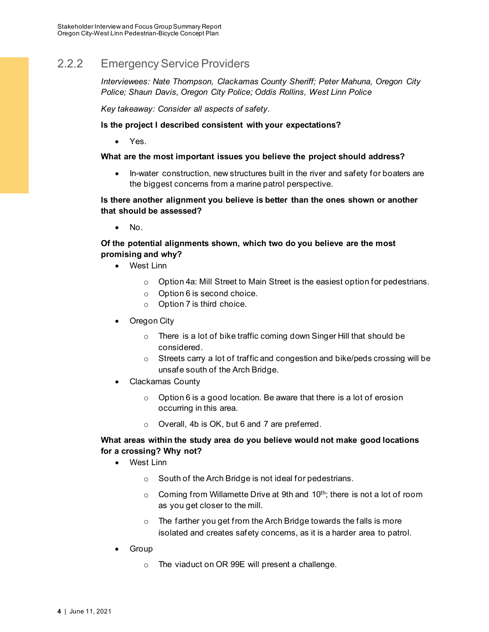# <span id="page-7-0"></span>2.2.2 Emergency Service Providers

*Interviewees: Nate Thompson, Clackamas County Sheriff; Peter Mahuna, Oregon City Police; Shaun Davis, Oregon City Police; Oddis Rollins, West Linn Police*

*Key takeaway: Consider all aspects of safety.* 

#### **Is the project I described consistent with your expectations?**

• Yes.

#### **What are the most important issues you believe the project should address?**

• In-water construction, new structures built in the river and safety for boaters are the biggest concerns from a marine patrol perspective.

#### **Is there another alignment you believe is better than the ones shown or another that should be assessed?**

• No.

## **Of the potential alignments shown, which two do you believe are the most promising and why?**

- West Linn
	- o Option 4a: Mill Street to Main Street is the easiest option for pedestrians.
	- o Option 6 is second choice.
	- o Option 7 is third choice.
- Oregon City
	- o There is a lot of bike traffic coming down Singer Hill that should be considered.
	- o Streets carry a lot of traffic and congestion and bike/peds crossing will be unsafe south of the Arch Bridge.
- Clackamas County
	- $\circ$  Option 6 is a good location. Be aware that there is a lot of erosion occurring in this area.
	- o Overall, 4b is OK, but 6 and 7 are preferred.

#### **What areas within the study area do you believe would not make good locations for a crossing? Why not?**

- West Linn
	- o South of the Arch Bridge is not ideal for pedestrians.
	- $\circ$  Coming from Willamette Drive at 9th and 10<sup>th</sup>; there is not a lot of room as you get closer to the mill.
	- o The farther you get from the Arch Bridge towards the falls is more isolated and creates safety concerns, as it is a harder area to patrol.
- Group
	- o The viaduct on OR 99E will present a challenge.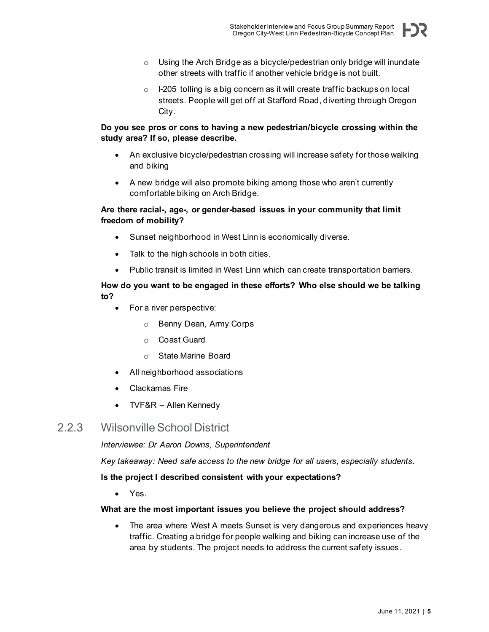- o Using the Arch Bridge as a bicycle/pedestrian only bridge will inundate other streets with traffic if another vehicle bridge is not built.
- o I-205 tolling is a big concern as it will create traffic backups on local streets. People will get off at Stafford Road, diverting through Oregon City.

### **Do you see pros or cons to having a new pedestrian/bicycle crossing within the study area? If so, please describe.**

- An exclusive bicycle/pedestrian crossing will increase safety for those walking and biking
- A new bridge will also promote biking among those who aren't currently comfortable biking on Arch Bridge.

#### **Are there racial-, age-, or gender-based issues in your community that limit freedom of mobility?**

- Sunset neighborhood in West Linn is economically diverse.
- Talk to the high schools in both cities.
- Public transit is limited in West Linn which can create transportation barriers.

### **How do you want to be engaged in these efforts? Who else should we be talking to?**

- For a river perspective:
	- o Benny Dean, Army Corps
	- o Coast Guard
	- o State Marine Board
- All neighborhood associations
- Clackamas Fire
- TVF&R Allen Kennedy

# <span id="page-8-0"></span>2.2.3 Wilsonville School District

*Interviewee: Dr Aaron Downs, Superintendent*

*Key takeaway: Need safe access to the new bridge for all users, especially students.*

#### **Is the project I described consistent with your expectations?**

• Yes.

#### **What are the most important issues you believe the project should address?**

• The area where West A meets Sunset is very dangerous and experiences heavy traffic. Creating a bridge for people walking and biking can increase use of the area by students. The project needs to address the current safety issues.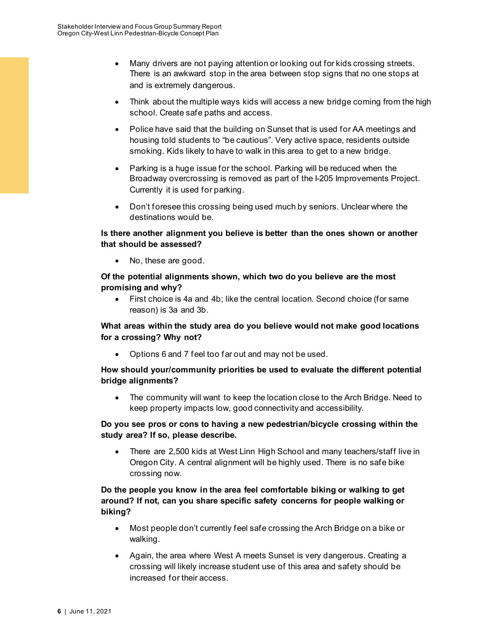- Many drivers are not paying attention or looking out for kids crossing streets. There is an awkward stop in the area between stop signs that no one stops at and is extremely dangerous.
- Think about the multiple ways kids will access a new bridge coming from the high school. Create safe paths and access.
- Police have said that the building on Sunset that is used for AA meetings and housing told students to "be cautious". Very active space, residents outside smoking. Kids likely to have to walk in this area to get to a new bridge.
- Parking is a huge issue for the school. Parking will be reduced when the Broadway overcrossing is removed as part of the I-205 Improvements Project. Currently it is used for parking.
- Don't foresee this crossing being used much by seniors. Unclear where the destinations would be.

#### **Is there another alignment you believe is better than the ones shown or another that should be assessed?**

• No, these are good.

#### **Of the potential alignments shown, which two do you believe are the most promising and why?**

• First choice is 4a and 4b; like the central location. Second choice (for same reason) is 3a and 3b.

# **What areas within the study area do you believe would not make good locations for a crossing? Why not?**

• Options 6 and 7 feel too far out and may not be used.

## **How should your/community priorities be used to evaluate the different potential bridge alignments?**

• The community will want to keep the location close to the Arch Bridge. Need to keep property impacts low, good connectivity and accessibility.

## **Do you see pros or cons to having a new pedestrian/bicycle crossing within the study area? If so, please describe.**

• There are 2,500 kids at West Linn High School and many teachers/staff live in Oregon City. A central alignment will be highly used. There is no safe bike crossing now.

## **Do the people you know in the area feel comfortable biking or walking to get around? If not, can you share specific safety concerns for people walking or biking?**

- Most people don't currently feel safe crossing the Arch Bridge on a bike or walking.
- Again, the area where West A meets Sunset is very dangerous. Creating a crossing will likely increase student use of this area and safety should be increased for their access.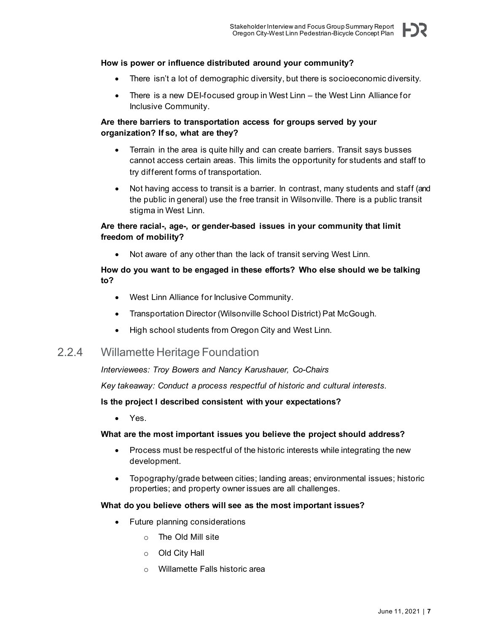#### **How is power or influence distributed around your community?**

- There isn't a lot of demographic diversity, but there is socioeconomic diversity.
- There is a new DEI-focused group in West Linn the West Linn Alliance for Inclusive Community.

#### **Are there barriers to transportation access for groups served by your organization? If so, what are they?**

- Terrain in the area is quite hilly and can create barriers. Transit says busses cannot access certain areas. This limits the opportunity for students and staff to try different forms of transportation.
- Not having access to transit is a barrier. In contrast, many students and staff (and the public in general) use the free transit in Wilsonville. There is a public transit stigma in West Linn.

#### **Are there racial-, age-, or gender-based issues in your community that limit freedom of mobility?**

• Not aware of any other than the lack of transit serving West Linn.

### **How do you want to be engaged in these efforts? Who else should we be talking to?**

- West Linn Alliance for Inclusive Community.
- Transportation Director (Wilsonville School District) Pat McGough.
- High school students from Oregon City and West Linn.

# <span id="page-10-0"></span>2.2.4 Willamette Heritage Foundation

*Interviewees: Troy Bowers and Nancy Karushauer, Co-Chairs*

*Key takeaway: Conduct a process respectful of historic and cultural interests.*

#### **Is the project I described consistent with your expectations?**

• Yes.

#### **What are the most important issues you believe the project should address?**

- Process must be respectful of the historic interests while integrating the new development.
- Topography/grade between cities; landing areas; environmental issues; historic properties; and property owner issues are all challenges.

#### **What do you believe others will see as the most important issues?**

- Future planning considerations
	- o The Old Mill site
	- o Old City Hall
	- o Willamette Falls historic area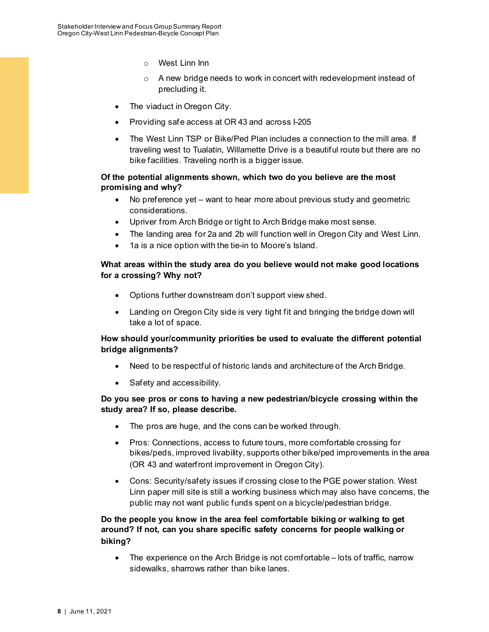- o West Linn Inn
- o A new bridge needs to work in concert with redevelopment instead of precluding it.
- The viaduct in Oregon City.
- Providing safe access at OR 43 and across I-205
- The West Linn TSP or Bike/Ped Plan includes a connection to the mill area. If traveling west to Tualatin, Willamette Drive is a beautiful route but there are no bike facilities. Traveling north is a bigger issue.

#### **Of the potential alignments shown, which two do you believe are the most promising and why?**

- No preference yet want to hear more about previous study and geometric considerations.
- Upriver from Arch Bridge or tight to Arch Bridge make most sense.
- The landing area for 2a and 2b will function well in Oregon City and West Linn.
- 1a is a nice option with the tie-in to Moore's Island.

#### **What areas within the study area do you believe would not make good locations for a crossing? Why not?**

- Options further downstream don't support view shed.
- Landing on Oregon City side is very tight fit and bringing the bridge down will take a lot of space.

#### **How should your/community priorities be used to evaluate the different potential bridge alignments?**

- Need to be respectful of historic lands and architecture of the Arch Bridge.
- Safety and accessibility.

#### **Do you see pros or cons to having a new pedestrian/bicycle crossing within the study area? If so, please describe.**

- The pros are huge, and the cons can be worked through.
- Pros: Connections, access to future tours, more comfortable crossing for bikes/peds, improved livability, supports other bike/ped improvements in the area (OR 43 and waterfront improvement in Oregon City).
- Cons: Security/safety issues if crossing close to the PGE power station. West Linn paper mill site is still a working business which may also have concerns, the public may not want public funds spent on a bicycle/pedestrian bridge.

### **Do the people you know in the area feel comfortable biking or walking to get around? If not, can you share specific safety concerns for people walking or biking?**

• The experience on the Arch Bridge is not comfortable – lots of traffic, narrow sidewalks, sharrows rather than bike lanes.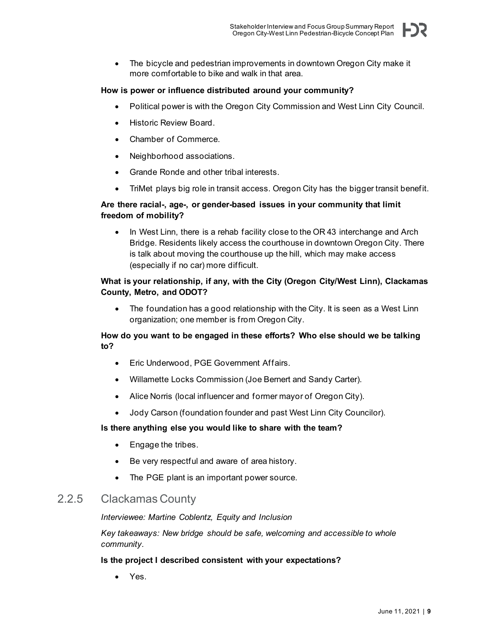• The bicycle and pedestrian improvements in downtown Oregon City make it more comfortable to bike and walk in that area.

#### **How is power or influence distributed around your community?**

- Political power is with the Oregon City Commission and West Linn City Council.
- Historic Review Board.
- Chamber of Commerce.
- Neighborhood associations.
- Grande Ronde and other tribal interests.
- TriMet plays big role in transit access. Oregon City has the bigger transit benefit.

### **Are there racial-, age-, or gender-based issues in your community that limit freedom of mobility?**

In West Linn, there is a rehab facility close to the OR 43 interchange and Arch Bridge. Residents likely access the courthouse in downtown Oregon City. There is talk about moving the courthouse up the hill, which may make access (especially if no car) more difficult.

#### **What is your relationship, if any, with the City (Oregon City/West Linn), Clackamas County, Metro, and ODOT?**

• The foundation has a good relationship with the City. It is seen as a West Linn organization; one member is from Oregon City.

#### **How do you want to be engaged in these efforts? Who else should we be talking to?**

- Eric Underwood, PGE Government Affairs.
- Willamette Locks Commission (Joe Bernert and Sandy Carter).
- Alice Norris (local influencer and former mayor of Oregon City).
- Jody Carson (foundation founder and past West Linn City Councilor).

#### **Is there anything else you would like to share with the team?**

- Engage the tribes.
- Be very respectful and aware of area history.
- The PGE plant is an important power source.

# <span id="page-12-0"></span>2.2.5 Clackamas County

#### *Interviewee: Martine Coblentz, Equity and Inclusion*

*Key takeaways: New bridge should be safe, welcoming and accessible to whole community.*

#### **Is the project I described consistent with your expectations?**

• Yes.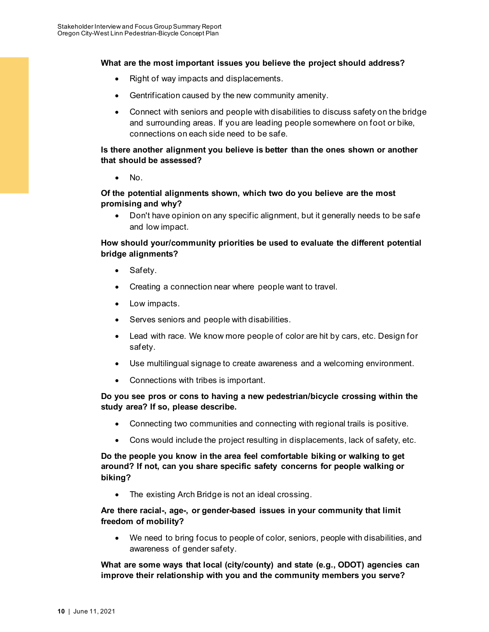#### **What are the most important issues you believe the project should address?**

- Right of way impacts and displacements.
- Gentrification caused by the new community amenity.
- Connect with seniors and people with disabilities to discuss safety on the bridge and surrounding areas. If you are leading people somewhere on foot or bike, connections on each side need to be safe.

#### **Is there another alignment you believe is better than the ones shown or another that should be assessed?**

• No.

### **Of the potential alignments shown, which two do you believe are the most promising and why?**

• Don't have opinion on any specific alignment, but it generally needs to be safe and low impact.

### **How should your/community priorities be used to evaluate the different potential bridge alignments?**

- Safety.
- Creating a connection near where people want to travel.
- Low impacts.
- Serves seniors and people with disabilities.
- Lead with race. We know more people of color are hit by cars, etc. Design for safety.
- Use multilingual signage to create awareness and a welcoming environment.
- Connections with tribes is important.

#### **Do you see pros or cons to having a new pedestrian/bicycle crossing within the study area? If so, please describe.**

- Connecting two communities and connecting with regional trails is positive.
- Cons would include the project resulting in displacements, lack of safety, etc.

### **Do the people you know in the area feel comfortable biking or walking to get around? If not, can you share specific safety concerns for people walking or biking?**

• The existing Arch Bridge is not an ideal crossing.

#### **Are there racial-, age-, or gender-based issues in your community that limit freedom of mobility?**

• We need to bring focus to people of color, seniors, people with disabilities, and awareness of gender safety.

**What are some ways that local (city/county) and state (e.g., ODOT) agencies can improve their relationship with you and the community members you serve?**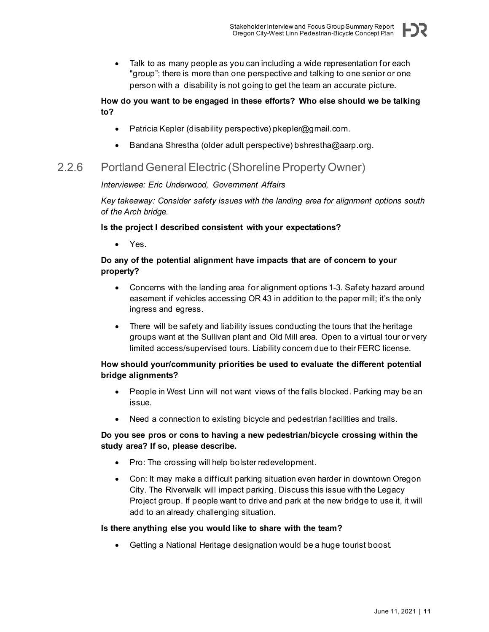• Talk to as many people as you can including a wide representation for each "group"; there is more than one perspective and talking to one senior or one person with a disability is not going to get the team an accurate picture.

### **How do you want to be engaged in these efforts? Who else should we be talking to?**

- Patricia Kepler (disability perspective) pkepler@gmail.com.
- Bandana Shrestha (older adult perspective) bshrestha@aarp.org.

# <span id="page-14-0"></span>2.2.6 Portland General Electric (Shoreline Property Owner)

#### *Interviewee: Eric Underwood, Government Affairs*

*Key takeaway: Consider safety issues with the landing area for alignment options south of the Arch bridge.* 

#### **Is the project I described consistent with your expectations?**

• Yes.

### **Do any of the potential alignment have impacts that are of concern to your property?**

- Concerns with the landing area for alignment options 1-3. Safety hazard around easement if vehicles accessing OR 43 in addition to the paper mill; it's the only ingress and egress.
- There will be safety and liability issues conducting the tours that the heritage groups want at the Sullivan plant and Old Mill area. Open to a virtual tour or very limited access/supervised tours. Liability concern due to their FERC license.

## **How should your/community priorities be used to evaluate the different potential bridge alignments?**

- People in West Linn will not want views of the falls blocked. Parking may be an issue.
- Need a connection to existing bicycle and pedestrian facilities and trails.

#### **Do you see pros or cons to having a new pedestrian/bicycle crossing within the study area? If so, please describe.**

- Pro: The crossing will help bolster redevelopment.
- Con: It may make a difficult parking situation even harder in downtown Oregon City. The Riverwalk will impact parking. Discuss this issue with the Legacy Project group. If people want to drive and park at the new bridge to use it, it will add to an already challenging situation.

#### **Is there anything else you would like to share with the team?**

• Getting a National Heritage designation would be a huge tourist boost.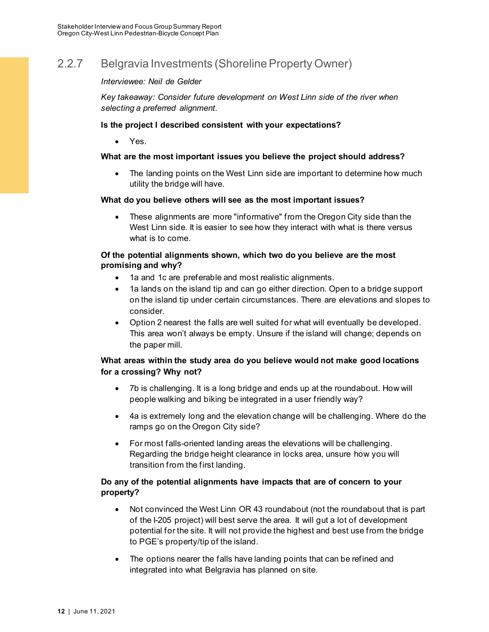# <span id="page-15-0"></span>2.2.7 Belgravia Investments (Shoreline Property Owner)

#### *Interviewee: Neil de Gelder*

*Key takeaway: Consider future development on West Linn side of the river when selecting a preferred alignment.* 

#### **Is the project I described consistent with your expectations?**

• Yes.

#### **What are the most important issues you believe the project should address?**

• The landing points on the West Linn side are important to determine how much utility the bridge will have.

#### **What do you believe others will see as the most important issues?**

• These alignments are more "informative" from the Oregon City side than the West Linn side. It is easier to see how they interact with what is there versus what is to come.

#### **Of the potential alignments shown, which two do you believe are the most promising and why?**

- 1a and 1c are preferable and most realistic alignments.
- 1a lands on the island tip and can go either direction. Open to a bridge support on the island tip under certain circumstances. There are elevations and slopes to consider.
- Option 2 nearest the falls are well suited for what will eventually be developed. This area won't always be empty. Unsure if the island will change; depends on the paper mill.

#### **What areas within the study area do you believe would not make good locations for a crossing? Why not?**

- 7b is challenging. It is a long bridge and ends up at the roundabout. How will people walking and biking be integrated in a user friendly way?
- 4a is extremely long and the elevation change will be challenging. Where do the ramps go on the Oregon City side?
- For most falls-oriented landing areas the elevations will be challenging. Regarding the bridge height clearance in locks area, unsure how you will transition from the first landing.

#### **Do any of the potential alignments have impacts that are of concern to your property?**

- Not convinced the West Linn OR 43 roundabout (not the roundabout that is part of the I-205 project) will best serve the area. It will gut a lot of development potential for the site. It will not provide the highest and best use from the bridge to PGE's property/tip of the island.
- The options nearer the falls have landing points that can be refined and integrated into what Belgravia has planned on site.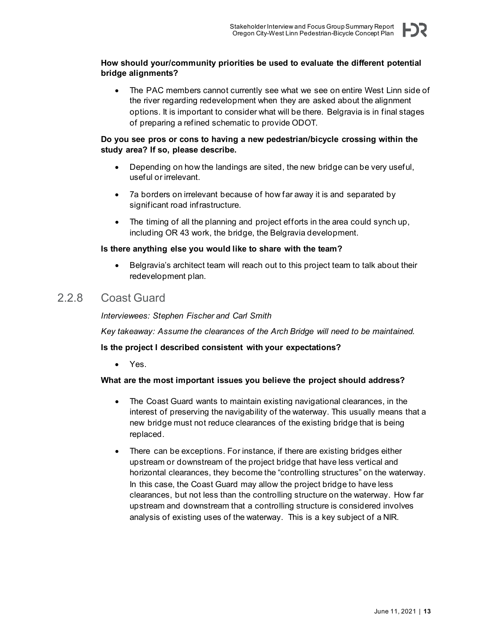#### **How should your/community priorities be used to evaluate the different potential bridge alignments?**

The PAC members cannot currently see what we see on entire West Linn side of the river regarding redevelopment when they are asked about the alignment options. It is important to consider what will be there. Belgravia is in final stages of preparing a refined schematic to provide ODOT.

#### **Do you see pros or cons to having a new pedestrian/bicycle crossing within the study area? If so, please describe.**

- Depending on how the landings are sited, the new bridge can be very useful, useful or irrelevant.
- 7a borders on irrelevant because of how far away it is and separated by significant road infrastructure.
- The timing of all the planning and project efforts in the area could synch up, including OR 43 work, the bridge, the Belgravia development.

#### **Is there anything else you would like to share with the team?**

• Belgravia's architect team will reach out to this project team to talk about their redevelopment plan.

# <span id="page-16-0"></span>2.2.8 Coast Guard

*Interviewees: Stephen Fischer and Carl Smith*

*Key takeaway: Assume the clearances of the Arch Bridge will need to be maintained.*

#### **Is the project I described consistent with your expectations?**

• Yes.

#### **What are the most important issues you believe the project should address?**

- The Coast Guard wants to maintain existing navigational clearances, in the interest of preserving the navigability of the waterway. This usually means that a new bridge must not reduce clearances of the existing bridge that is being replaced.
- There can be exceptions. For instance, if there are existing bridges either upstream or downstream of the project bridge that have less vertical and horizontal clearances, they become the "controlling structures" on the waterway. In this case, the Coast Guard may allow the project bridge to have less clearances, but not less than the controlling structure on the waterway. How far upstream and downstream that a controlling structure is considered involves analysis of existing uses of the waterway. This is a key subject of a NIR.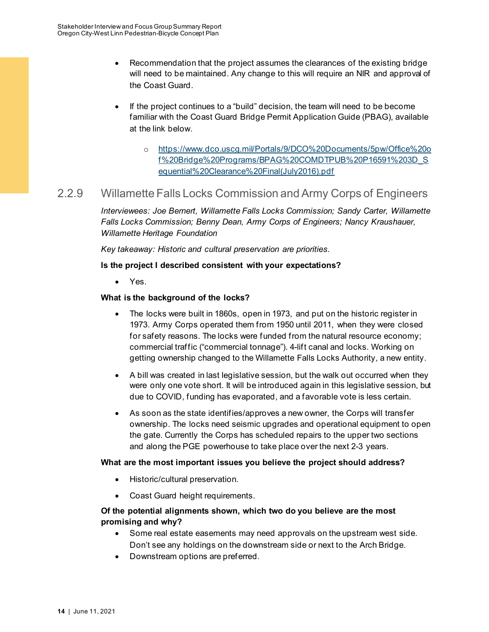- Recommendation that the project assumes the clearances of the existing bridge will need to be maintained. Any change to this will require an NIR and approval of the Coast Guard.
- If the project continues to a "build" decision, the team will need to be become familiar with the Coast Guard Bridge Permit Application Guide (PBAG), available at the link below.
	- o [https://www.dco.uscg.mil/Portals/9/DCO%20Documents/5pw/Office%20o](https://www.dco.uscg.mil/Portals/9/DCO%20Documents/5pw/Office%20of%20Bridge%20Programs/BPAG%20COMDTPUB%20P16591%203D_Sequential%20Clearance%20Final(July2016).pdf) [f%20Bridge%20Programs/BPAG%20COMDTPUB%20P16591%203D\\_S](https://www.dco.uscg.mil/Portals/9/DCO%20Documents/5pw/Office%20of%20Bridge%20Programs/BPAG%20COMDTPUB%20P16591%203D_Sequential%20Clearance%20Final(July2016).pdf) [equential%20Clearance%20Final\(July2016\).pdf](https://www.dco.uscg.mil/Portals/9/DCO%20Documents/5pw/Office%20of%20Bridge%20Programs/BPAG%20COMDTPUB%20P16591%203D_Sequential%20Clearance%20Final(July2016).pdf)

# <span id="page-17-0"></span>2.2.9 Willamette Falls Locks Commission and Army Corps of Engineers

*Interviewees: Joe Bernert, Willamette Falls Locks Commission; Sandy Carter, Willamette Falls Locks Commission; Benny Dean, Army Corps of Engineers; Nancy Kraushauer, Willamette Heritage Foundation*

*Key takeaway: Historic and cultural preservation are priorities.*

#### **Is the project I described consistent with your expectations?**

• Yes.

#### **What is the background of the locks?**

- The locks were built in 1860s, open in 1973, and put on the historic register in 1973. Army Corps operated them from 1950 until 2011, when they were closed for safety reasons. The locks were funded from the natural resource economy; commercial traffic ("commercial tonnage"). 4-lift canal and locks. Working on getting ownership changed to the Willamette Falls Locks Authority, a new entity.
- A bill was created in last legislative session, but the walk out occurred when they were only one vote short. It will be introduced again in this legislative session, but due to COVID, funding has evaporated, and a favorable vote is less certain.
- As soon as the state identifies/approves a new owner, the Corps will transfer ownership. The locks need seismic upgrades and operational equipment to open the gate. Currently the Corps has scheduled repairs to the upper two sections and along the PGE powerhouse to take place over the next 2-3 years.

#### **What are the most important issues you believe the project should address?**

- Historic/cultural preservation.
- Coast Guard height requirements.

#### **Of the potential alignments shown, which two do you believe are the most promising and why?**

- Some real estate easements may need approvals on the upstream west side. Don't see any holdings on the downstream side or next to the Arch Bridge.
- Downstream options are preferred.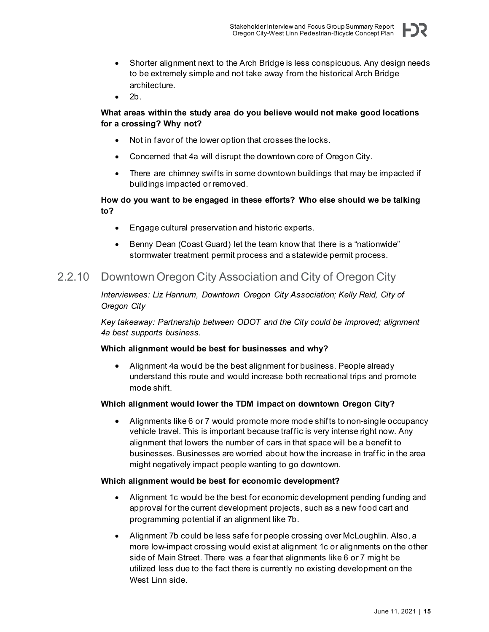F)S

- Shorter alignment next to the Arch Bridge is less conspicuous. Any design needs to be extremely simple and not take away from the historical Arch Bridge architecture.
- 2b.

## **What areas within the study area do you believe would not make good locations for a crossing? Why not?**

- Not in favor of the lower option that crosses the locks.
- Concerned that 4a will disrupt the downtown core of Oregon City.
- There are chimney swifts in some downtown buildings that may be impacted if buildings impacted or removed.

## **How do you want to be engaged in these efforts? Who else should we be talking to?**

- Engage cultural preservation and historic experts.
- Benny Dean (Coast Guard) let the team know that there is a "nationwide" stormwater treatment permit process and a statewide permit process.

# <span id="page-18-0"></span>2.2.10 Downtown Oregon City Association and City of Oregon City

*Interviewees: Liz Hannum, Downtown Oregon City Association; Kelly Reid, City of Oregon City*

*Key takeaway: Partnership between ODOT and the City could be improved; alignment 4a best supports business.*

#### **Which alignment would be best for businesses and why?**

• Alignment 4a would be the best alignment for business. People already understand this route and would increase both recreational trips and promote mode shift.

## **Which alignment would lower the TDM impact on downtown Oregon City?**

• Alignments like 6 or 7 would promote more mode shifts to non-single occupancy vehicle travel. This is important because traffic is very intense right now. Any alignment that lowers the number of cars in that space will be a benefit to businesses. Businesses are worried about how the increase in traffic in the area might negatively impact people wanting to go downtown.

#### **Which alignment would be best for economic development?**

- Alignment 1c would be the best for economic development pending funding and approval for the current development projects, such as a new food cart and programming potential if an alignment like 7b.
- Alignment 7b could be less safe for people crossing over McLoughlin. Also, a more low-impact crossing would exist at alignment 1c or alignments on the other side of Main Street. There was a fear that alignments like 6 or 7 might be utilized less due to the fact there is currently no existing development on the West Linn side.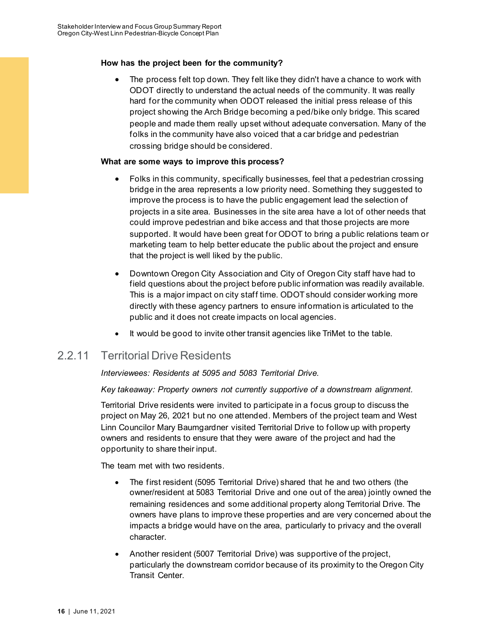#### **How has the project been for the community?**

The process felt top down. They felt like they didn't have a chance to work with ODOT directly to understand the actual needs of the community. It was really hard for the community when ODOT released the initial press release of this project showing the Arch Bridge becoming a ped/bike only bridge. This scared people and made them really upset without adequate conversation. Many of the folks in the community have also voiced that a car bridge and pedestrian crossing bridge should be considered.

#### **What are some ways to improve this process?**

- Folks in this community, specifically businesses, feel that a pedestrian crossing bridge in the area represents a low priority need. Something they suggested to improve the process is to have the public engagement lead the selection of projects in a site area. Businesses in the site area have a lot of other needs that could improve pedestrian and bike access and that those projects are more supported. It would have been great for ODOT to bring a public relations team or marketing team to help better educate the public about the project and ensure that the project is well liked by the public.
- Downtown Oregon City Association and City of Oregon City staff have had to field questions about the project before public information was readily available. This is a major impact on city staff time. ODOT should consider working more directly with these agency partners to ensure information is articulated to the public and it does not create impacts on local agencies.
- It would be good to invite other transit agencies like TriMet to the table.

# <span id="page-19-0"></span>2.2.11 Territorial Drive Residents

#### *Interviewees: Residents at 5095 and 5083 Territorial Drive.*

#### *Key takeaway: Property owners not currently supportive of a downstream alignment.*

Territorial Drive residents were invited to participate in a focus group to discuss the project on May 26, 2021 but no one attended. Members of the project team and West Linn Councilor Mary Baumgardner visited Territorial Drive to follow up with property owners and residents to ensure that they were aware of the project and had the opportunity to share their input.

The team met with two residents.

- The first resident (5095 Territorial Drive) shared that he and two others (the owner/resident at 5083 Territorial Drive and one out of the area) jointly owned the remaining residences and some additional property along Territorial Drive. The owners have plans to improve these properties and are very concerned about the impacts a bridge would have on the area, particularly to privacy and the overall character.
- Another resident (5007 Territorial Drive) was supportive of the project, particularly the downstream corridor because of its proximity to the Oregon City Transit Center.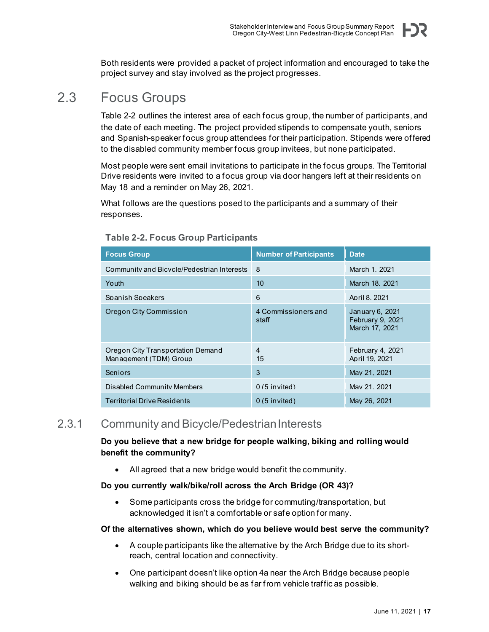Both residents were provided a packet of project information and encouraged to take the project survey and stay involved as the project progresses.

# <span id="page-20-0"></span>2.3 Focus Groups

Table 2-2 outlines the interest area of each focus group, the number of participants, and the date of each meeting. The project provided stipends to compensate youth, seniors and Spanish-speaker focus group attendees for their participation. Stipends were offered to the disabled community member focus group invitees, but none participated.

Most people were sent email invitations to participate in the focus groups. The Territorial Drive residents were invited to a focus group via door hangers left at their residents on May 18 and a reminder on May 26, 2021.

What follows are the questions posed to the participants and a summary of their responses.

| <b>Focus Group</b>                                          | <b>Number of Participants</b> | <b>Date</b>                                           |
|-------------------------------------------------------------|-------------------------------|-------------------------------------------------------|
| Community and Bicycle/Pedestrian Interests                  | 8                             | March 1, 2021                                         |
| Youth                                                       | 10                            | March 18, 2021                                        |
| Spanish Speakers                                            | 6                             | April 8, 2021                                         |
| Oregon City Commission                                      | 4 Commissioners and<br>staff  | January 6, 2021<br>February 9, 2021<br>March 17, 2021 |
| Oregon City Transportation Demand<br>Management (TDM) Group | 4<br>15                       | February 4, 2021<br>April 19, 2021                    |
| Seniors                                                     | 3                             | May 21, 2021                                          |
| Disabled Community Members                                  | $0(5$ invited)                | May 21, 2021                                          |
| <b>Territorial Drive Residents</b>                          | $0(5$ invited)                | May 26, 2021                                          |

## <span id="page-20-2"></span>**Table 2-2. Focus Group Participants**

# <span id="page-20-1"></span>2.3.1 Community and Bicycle/Pedestrian Interests

**Do you believe that a new bridge for people walking, biking and rolling would benefit the community?**

All agreed that a new bridge would benefit the community.

#### **Do you currently walk/bike/roll across the Arch Bridge (OR 43)?**

• Some participants cross the bridge for commuting/transportation, but acknowledged it isn't a comfortable or safe option for many.

#### **Of the alternatives shown, which do you believe would best serve the community?**

- A couple participants like the alternative by the Arch Bridge due to its shortreach, central location and connectivity.
- One participant doesn't like option 4a near the Arch Bridge because people walking and biking should be as far from vehicle traffic as possible.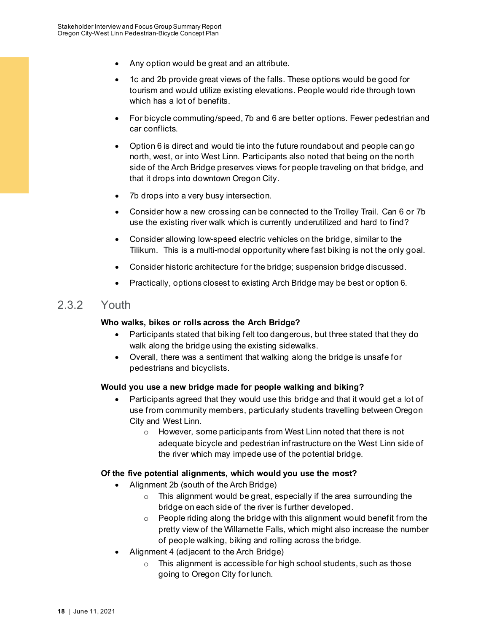- Any option would be great and an attribute.
- 1c and 2b provide great views of the falls. These options would be good for tourism and would utilize existing elevations. People would ride through town which has a lot of benefits.
- For bicycle commuting/speed, 7b and 6 are better options. Fewer pedestrian and car conflicts.
- Option 6 is direct and would tie into the future roundabout and people can go north, west, or into West Linn. Participants also noted that being on the north side of the Arch Bridge preserves views for people traveling on that bridge, and that it drops into downtown Oregon City.
- 7b drops into a very busy intersection.
- Consider how a new crossing can be connected to the Trolley Trail. Can 6 or 7b use the existing river walk which is currently underutilized and hard to find?
- Consider allowing low-speed electric vehicles on the bridge, similar to the Tilikum. This is a multi-modal opportunity where fast biking is not the only goal.
- Consider historic architecture for the bridge; suspension bridge discussed.
- Practically, options closest to existing Arch Bridge may be best or option 6.

# <span id="page-21-0"></span>2.3.2 Youth

#### **Who walks, bikes or rolls across the Arch Bridge?**

- Participants stated that biking felt too dangerous, but three stated that they do walk along the bridge using the existing sidewalks.
- Overall, there was a sentiment that walking along the bridge is unsafe for pedestrians and bicyclists.

#### **Would you use a new bridge made for people walking and biking?**

- Participants agreed that they would use this bridge and that it would get a lot of use from community members, particularly students travelling between Oregon City and West Linn.
	- o However, some participants from West Linn noted that there is not adequate bicycle and pedestrian infrastructure on the West Linn side of the river which may impede use of the potential bridge.

#### **Of the five potential alignments, which would you use the most?**

- Alignment 2b (south of the Arch Bridge)
	- o This alignment would be great, especially if the area surrounding the bridge on each side of the river is further developed.
	- o People riding along the bridge with this alignment would benefit from the pretty view of the Willamette Falls, which might also increase the number of people walking, biking and rolling across the bridge.
- Alignment 4 (adjacent to the Arch Bridge)
	- o This alignment is accessible for high school students, such as those going to Oregon City for lunch.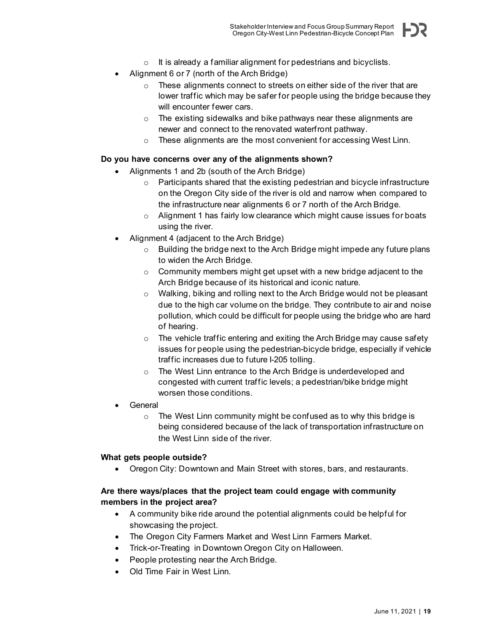- $\circ$  It is already a familiar alignment for pedestrians and bicyclists.
- Alignment 6 or 7 (north of the Arch Bridge)
	- o These alignments connect to streets on either side of the river that are lower traffic which may be safer for people using the bridge because they will encounter fewer cars.
	- o The existing sidewalks and bike pathways near these alignments are newer and connect to the renovated waterfront pathway.
	- o These alignments are the most convenient for accessing West Linn.

#### **Do you have concerns over any of the alignments shown?**

- Alignments 1 and 2b (south of the Arch Bridge)
	- o Participants shared that the existing pedestrian and bicycle infrastructure on the Oregon City side of the river is old and narrow when compared to the infrastructure near alignments 6 or 7 north of the Arch Bridge.
	- $\circ$  Alignment 1 has fairly low clearance which might cause issues for boats using the river.
- Alignment 4 (adjacent to the Arch Bridge)
	- o Building the bridge next to the Arch Bridge might impede any future plans to widen the Arch Bridge.
	- $\circ$  Community members might get upset with a new bridge adjacent to the Arch Bridge because of its historical and iconic nature.
	- o Walking, biking and rolling next to the Arch Bridge would not be pleasant due to the high car volume on the bridge. They contribute to air and noise pollution, which could be difficult for people using the bridge who are hard of hearing.
	- o The vehicle traffic entering and exiting the Arch Bridge may cause safety issues for people using the pedestrian-bicycle bridge, especially if vehicle traffic increases due to future I-205 tolling.
	- o The West Linn entrance to the Arch Bridge is underdeveloped and congested with current traffic levels; a pedestrian/bike bridge might worsen those conditions.
- **General** 
	- o The West Linn community might be confused as to why this bridge is being considered because of the lack of transportation infrastructure on the West Linn side of the river.

#### **What gets people outside?**

• Oregon City: Downtown and Main Street with stores, bars, and restaurants.

#### **Are there ways/places that the project team could engage with community members in the project area?**

- A community bike ride around the potential alignments could be helpful for showcasing the project.
- The Oregon City Farmers Market and West Linn Farmers Market.
- Trick-or-Treating in Downtown Oregon City on Halloween.
- People protesting near the Arch Bridge.
- Old Time Fair in West Linn.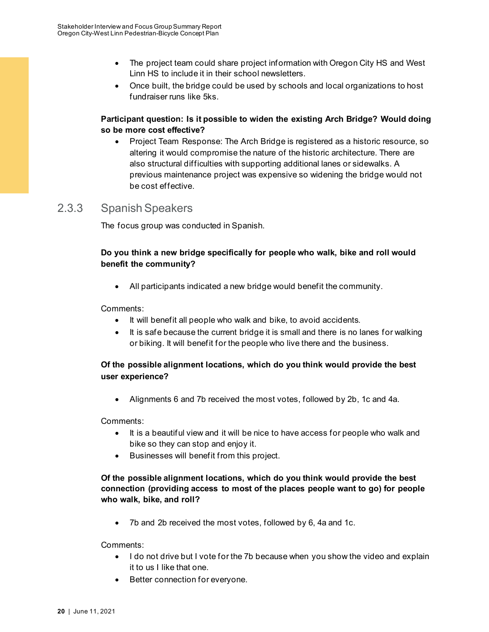- The project team could share project information with Oregon City HS and West Linn HS to include it in their school newsletters.
- Once built, the bridge could be used by schools and local organizations to host fundraiser runs like 5ks.

### **Participant question: Is it possible to widen the existing Arch Bridge? Would doing so be more cost effective?**

• Project Team Response: The Arch Bridge is registered as a historic resource, so altering it would compromise the nature of the historic architecture. There are also structural difficulties with supporting additional lanes or sidewalks. A previous maintenance project was expensive so widening the bridge would not be cost effective.

# <span id="page-23-0"></span>2.3.3 Spanish Speakers

The focus group was conducted in Spanish.

# **Do you think a new bridge specifically for people who walk, bike and roll would benefit the community?**

• All participants indicated a new bridge would benefit the community.

#### Comments:

- It will benefit all people who walk and bike, to avoid accidents.
- It is safe because the current bridge it is small and there is no lanes for walking or biking. It will benefit for the people who live there and the business.

# **Of the possible alignment locations, which do you think would provide the best user experience?**

• Alignments 6 and 7b received the most votes, followed by 2b, 1c and 4a.

Comments:

- It is a beautiful view and it will be nice to have access for people who walk and bike so they can stop and enjoy it.
- Businesses will benefit from this project.

## **Of the possible alignment locations, which do you think would provide the best connection (providing access to most of the places people want to go) for people who walk, bike, and roll?**

7b and 2b received the most votes, followed by 6, 4a and 1c.

Comments:

- I do not drive but I vote for the 7b because when you show the video and explain it to us I like that one.
- Better connection for everyone.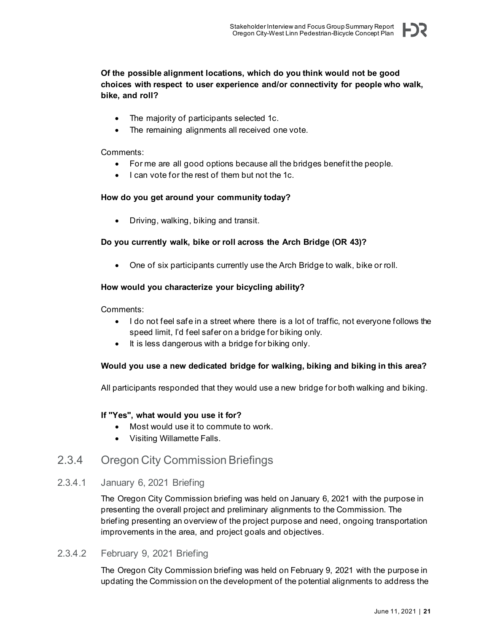## **Of the possible alignment locations, which do you think would not be good choices with respect to user experience and/or connectivity for people who walk, bike, and roll?**

- The majority of participants selected 1c.
- The remaining alignments all received one vote.

#### Comments:

- For me are all good options because all the bridges benefit the people.
- I can vote for the rest of them but not the 1c.

#### **How do you get around your community today?**

• Driving, walking, biking and transit.

#### **Do you currently walk, bike or roll across the Arch Bridge (OR 43)?**

• One of six participants currently use the Arch Bridge to walk, bike or roll.

#### **How would you characterize your bicycling ability?**

Comments:

- I do not feel safe in a street where there is a lot of traffic, not everyone follows the speed limit, I'd feel safer on a bridge for biking only.
- It is less dangerous with a bridge for biking only.

#### **Would you use a new dedicated bridge for walking, biking and biking in this area?**

All participants responded that they would use a new bridge for both walking and biking.

#### **If "Yes", what would you use it for?**

- Most would use it to commute to work.
- Visiting Willamette Falls.

# <span id="page-24-0"></span>2.3.4 Oregon City Commission Briefings

#### 2.3.4.1 January 6, 2021 Briefing

The Oregon City Commission briefing was held on January 6, 2021 with the purpose in presenting the overall project and preliminary alignments to the Commission. The briefing presenting an overview of the project purpose and need, ongoing transportation improvements in the area, and project goals and objectives.

## 2.3.4.2 February 9, 2021 Briefing

The Oregon City Commission briefing was held on February 9, 2021 with the purpose in updating the Commission on the development of the potential alignments to address the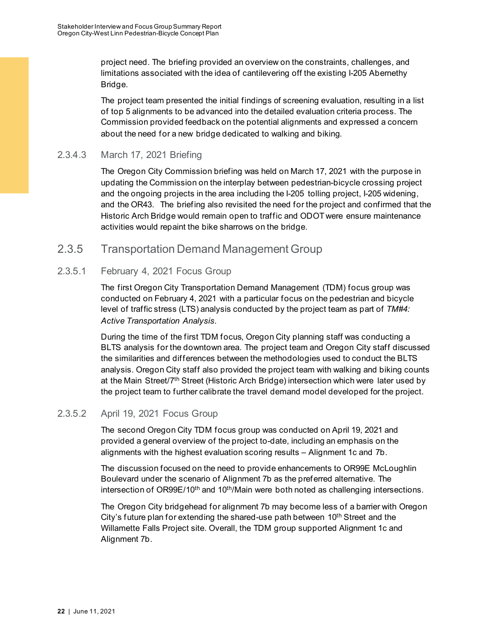project need. The briefing provided an overview on the constraints, challenges, and limitations associated with the idea of cantilevering off the existing I-205 Abernethy Bridge.

The project team presented the initial findings of screening evaluation, resulting in a list of top 5 alignments to be advanced into the detailed evaluation criteria process. The Commission provided feedback on the potential alignments and expressed a concern about the need for a new bridge dedicated to walking and biking.

# 2.3.4.3 March 17, 2021 Briefing

The Oregon City Commission briefing was held on March 17, 2021 with the purpose in updating the Commission on the interplay between pedestrian-bicycle crossing project and the ongoing projects in the area including the I-205 tolling project, I-205 widening, and the OR43. The briefing also revisited the need for the project and confirmed that the Historic Arch Bridge would remain open to traffic and ODOT were ensure maintenance activities would repaint the bike sharrows on the bridge.

# <span id="page-25-0"></span>2.3.5 Transportation Demand Management Group

# 2.3.5.1 February 4, 2021 Focus Group

The first Oregon City Transportation Demand Management (TDM) focus group was conducted on February 4, 2021 with a particular focus on the pedestrian and bicycle level of traffic stress (LTS) analysis conducted by the project team as part of *TM#4: Active Transportation Analysis.*

During the time of the first TDM focus, Oregon City planning staff was conducting a BLTS analysis for the downtown area. The project team and Oregon City staff discussed the similarities and differences between the methodologies used to conduct the BLTS analysis. Oregon City staff also provided the project team with walking and biking counts at the Main Street/7th Street (Historic Arch Bridge) intersection which were later used by the project team to further calibrate the travel demand model developed for the project.

# 2.3.5.2 April 19, 2021 Focus Group

The second Oregon City TDM focus group was conducted on April 19, 2021 and provided a general overview of the project to-date, including an emphasis on the alignments with the highest evaluation scoring results – Alignment 1c and 7b.

The discussion focused on the need to provide enhancements to OR99E McLoughlin Boulevard under the scenario of Alignment 7b as the preferred alternative. The intersection of OR99E/10<sup>th</sup> and 10<sup>th</sup>/Main were both noted as challenging intersections.

The Oregon City bridgehead for alignment 7b may become less of a barrier with Oregon City's future plan for extending the shared-use path between 10<sup>th</sup> Street and the Willamette Falls Project site. Overall, the TDM group supported Alignment 1c and Alignment 7b.